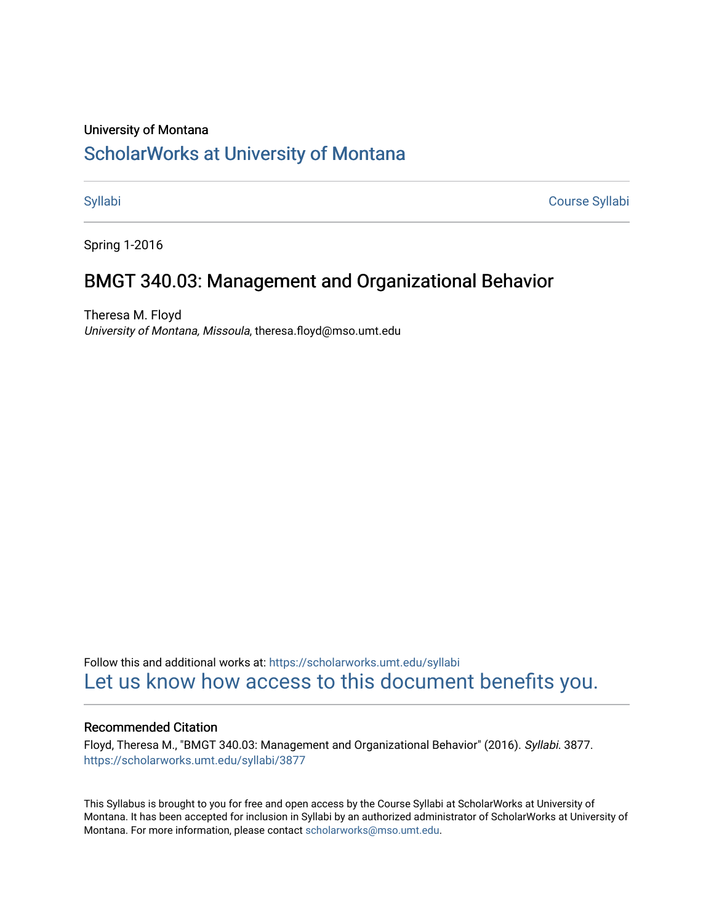#### University of Montana

# [ScholarWorks at University of Montana](https://scholarworks.umt.edu/)

[Syllabi](https://scholarworks.umt.edu/syllabi) [Course Syllabi](https://scholarworks.umt.edu/course_syllabi) 

Spring 1-2016

## BMGT 340.03: Management and Organizational Behavior

Theresa M. Floyd University of Montana, Missoula, theresa.floyd@mso.umt.edu

Follow this and additional works at: [https://scholarworks.umt.edu/syllabi](https://scholarworks.umt.edu/syllabi?utm_source=scholarworks.umt.edu%2Fsyllabi%2F3877&utm_medium=PDF&utm_campaign=PDFCoverPages)  [Let us know how access to this document benefits you.](https://goo.gl/forms/s2rGfXOLzz71qgsB2) 

#### Recommended Citation

Floyd, Theresa M., "BMGT 340.03: Management and Organizational Behavior" (2016). Syllabi. 3877. [https://scholarworks.umt.edu/syllabi/3877](https://scholarworks.umt.edu/syllabi/3877?utm_source=scholarworks.umt.edu%2Fsyllabi%2F3877&utm_medium=PDF&utm_campaign=PDFCoverPages)

This Syllabus is brought to you for free and open access by the Course Syllabi at ScholarWorks at University of Montana. It has been accepted for inclusion in Syllabi by an authorized administrator of ScholarWorks at University of Montana. For more information, please contact [scholarworks@mso.umt.edu.](mailto:scholarworks@mso.umt.edu)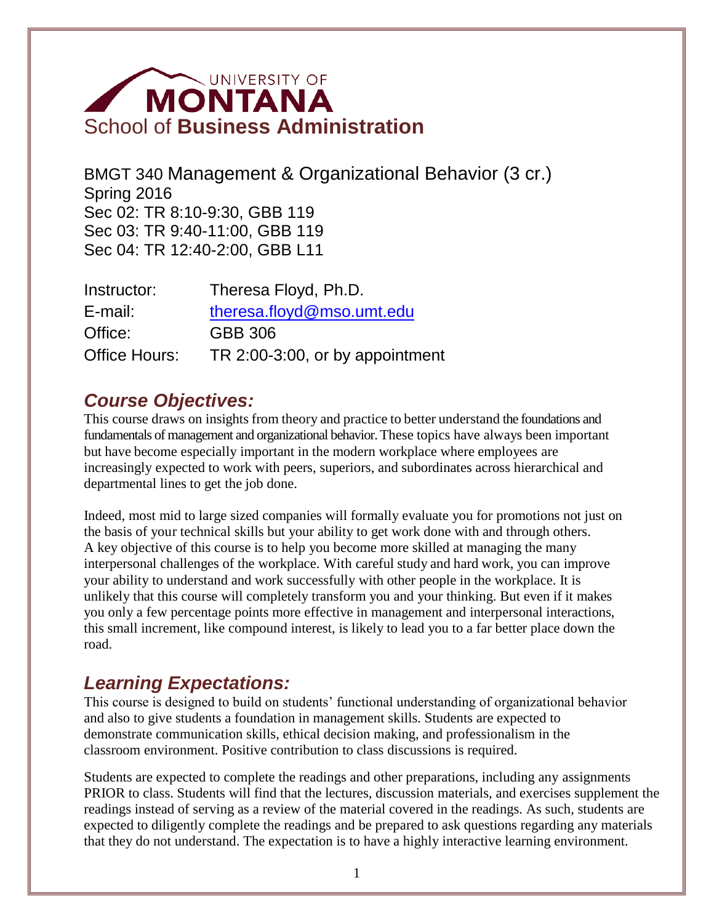# **MONTANA** School of **Business Administration**

BMGT 340 Management & Organizational Behavior (3 cr.) Spring 2016 Sec 02: TR 8:10-9:30, GBB 119 Sec 03: TR 9:40-11:00, GBB 119 Sec 04: TR 12:40-2:00, GBB L11

| Instructor:   | Theresa Floyd, Ph.D.            |  |  |
|---------------|---------------------------------|--|--|
| E-mail:       | theresa.floyd@mso.umt.edu       |  |  |
| Office:       | GBB 306                         |  |  |
| Office Hours: | TR 2:00-3:00, or by appointment |  |  |

# *Course Objectives:*

This course draws on insights from theory and practice to better understand the foundations and fundamentals of management and organizational behavior. These topics have always been important but have become especially important in the modern workplace where employees are increasingly expected to work with peers, superiors, and subordinates across hierarchical and departmental lines to get the job done.

Indeed, most mid to large sized companies will formally evaluate you for promotions not just on the basis of your technical skills but your ability to get work done with and through others. A key objective of this course is to help you become more skilled at managing the many interpersonal challenges of the workplace. With careful study and hard work, you can improve your ability to understand and work successfully with other people in the workplace. It is unlikely that this course will completely transform you and your thinking. But even if it makes you only a few percentage points more effective in management and interpersonal interactions, this small increment, like compound interest, is likely to lead you to a far better place down the road.

# *Learning Expectations:*

This course is designed to build on students' functional understanding of organizational behavior and also to give students a foundation in management skills. Students are expected to demonstrate communication skills, ethical decision making, and professionalism in the classroom environment. Positive contribution to class discussions is required.

Students are expected to complete the readings and other preparations, including any assignments PRIOR to class. Students will find that the lectures, discussion materials, and exercises supplement the readings instead of serving as a review of the material covered in the readings. As such, students are expected to diligently complete the readings and be prepared to ask questions regarding any materials that they do not understand. The expectation is to have a highly interactive learning environment.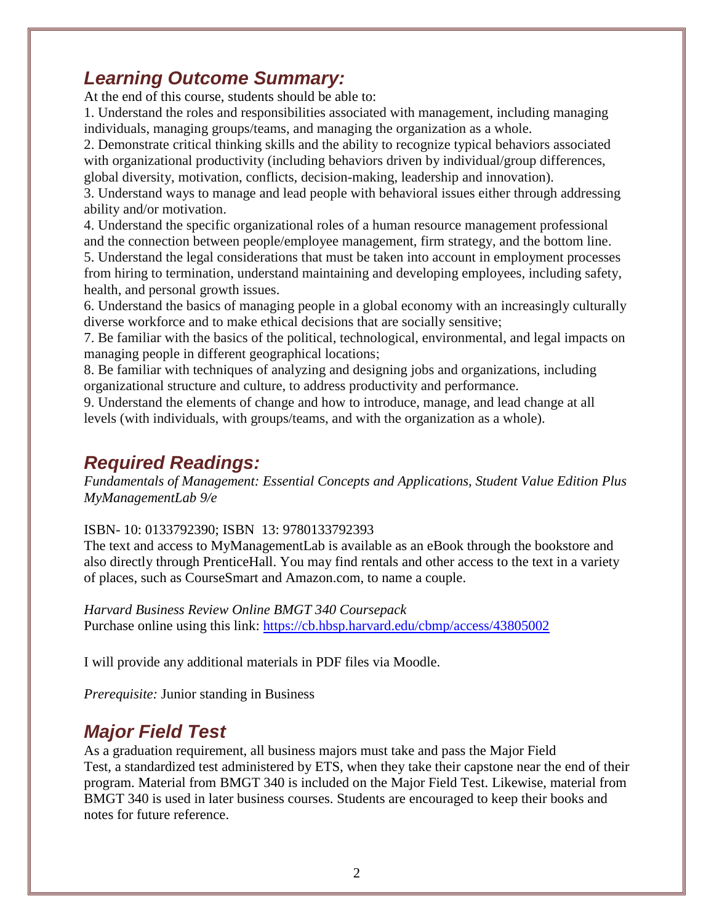# *Learning Outcome Summary:*

At the end of this course, students should be able to:

1. Understand the roles and responsibilities associated with management, including managing individuals, managing groups/teams, and managing the organization as a whole.

2. Demonstrate critical thinking skills and the ability to recognize typical behaviors associated with organizational productivity (including behaviors driven by individual/group differences, global diversity, motivation, conflicts, decision-making, leadership and innovation).

3. Understand ways to manage and lead people with behavioral issues either through addressing ability and/or motivation.

4. Understand the specific organizational roles of a human resource management professional and the connection between people/employee management, firm strategy, and the bottom line.

5. Understand the legal considerations that must be taken into account in employment processes from hiring to termination, understand maintaining and developing employees, including safety, health, and personal growth issues.

6. Understand the basics of managing people in a global economy with an increasingly culturally diverse workforce and to make ethical decisions that are socially sensitive;

7. Be familiar with the basics of the political, technological, environmental, and legal impacts on managing people in different geographical locations;

8. Be familiar with techniques of analyzing and designing jobs and organizations, including organizational structure and culture, to address productivity and performance.

9. Understand the elements of change and how to introduce, manage, and lead change at all levels (with individuals, with groups/teams, and with the organization as a whole).

# *Required Readings:*

*Fundamentals of Management: Essential Concepts and Applications, Student Value Edition Plus MyManagementLab 9/e* 

### ISBN- 10: 0133792390; ISBN 13: 9780133792393

The text and access to MyManagementLab is available as an eBook through the bookstore and also directly through PrenticeHall. You may find rentals and other access to the text in a variety of places, such as CourseSmart and Amazon.com, to name a couple.

*Harvard Business Review Online BMGT 340 Coursepack* 

Purchase online using this link:<https://cb.hbsp.harvard.edu/cbmp/access/43805002>

I will provide any additional materials in PDF files via Moodle.

*Prerequisite:* Junior standing in Business

# *Major Field Test*

As a graduation requirement, all business majors must take and pass the Major Field Test, a standardized test administered by ETS, when they take their capstone near the end of their program. Material from BMGT 340 is included on the Major Field Test. Likewise, material from BMGT 340 is used in later business courses. Students are encouraged to keep their books and notes for future reference.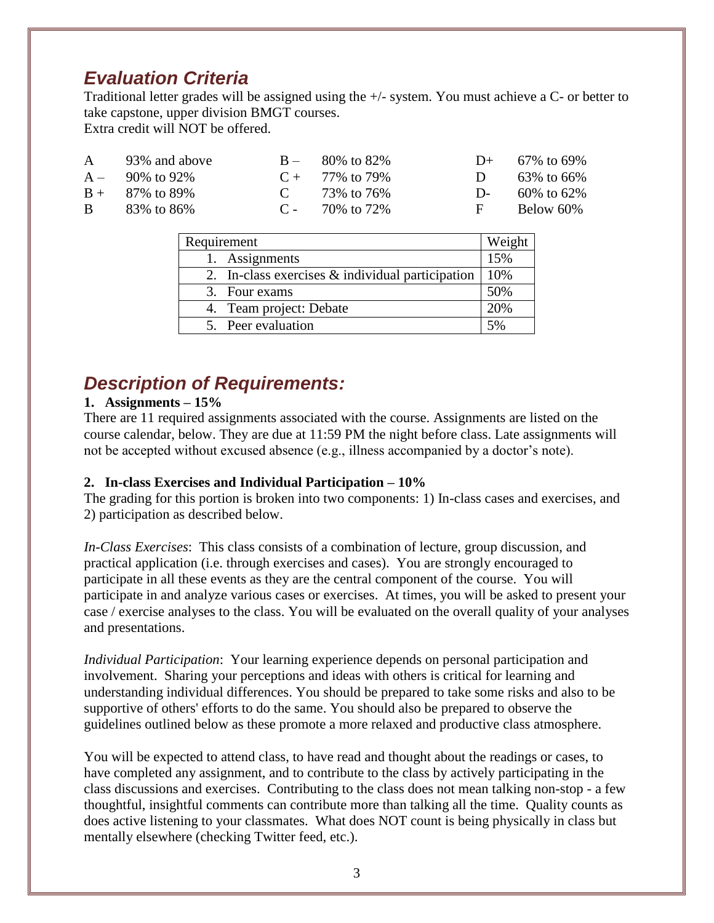# *Evaluation Criteria*

Traditional letter grades will be assigned using the +/- system. You must achieve a C- or better to take capstone, upper division BMGT courses. Extra credit will NOT be offered.

| A 93% and above    | $B - 80\%$ to 82\%   | $D+ 67\%$ to 69%    |
|--------------------|----------------------|---------------------|
| $A = 90\%$ to 92\% | $C + 77\%$ to 79%    | D $63\%$ to $66\%$  |
| $B + 87\%$ to 89%  | C $73\%$ to $76\%$   | D- $60\%$ to $62\%$ |
| $B = 83\%$ to 86\% | $C = 70\%$ to $72\%$ | $F = Below 60\%$    |

| Requirement                                         | Weight |
|-----------------------------------------------------|--------|
| 1. Assignments                                      | 15%    |
| 2. In-class exercises $\&$ individual participation | 10%    |
| 3. Four exams                                       | 50%    |
| 4. Team project: Debate                             | 20%    |
| 5. Peer evaluation                                  | 5%     |

# *Description of Requirements:*

### **1. Assignments – 15%**

There are 11 required assignments associated with the course. Assignments are listed on the course calendar, below. They are due at 11:59 PM the night before class. Late assignments will not be accepted without excused absence (e.g., illness accompanied by a doctor's note).

### **2. In-class Exercises and Individual Participation – 10%**

The grading for this portion is broken into two components: 1) In-class cases and exercises, and 2) participation as described below.

*In-Class Exercises*: This class consists of a combination of lecture, group discussion, and practical application (i.e. through exercises and cases). You are strongly encouraged to participate in all these events as they are the central component of the course. You will participate in and analyze various cases or exercises. At times, you will be asked to present your case / exercise analyses to the class. You will be evaluated on the overall quality of your analyses and presentations.

*Individual Participation*: Your learning experience depends on personal participation and involvement. Sharing your perceptions and ideas with others is critical for learning and understanding individual differences. You should be prepared to take some risks and also to be supportive of others' efforts to do the same. You should also be prepared to observe the guidelines outlined below as these promote a more relaxed and productive class atmosphere.

You will be expected to attend class, to have read and thought about the readings or cases, to have completed any assignment, and to contribute to the class by actively participating in the class discussions and exercises. Contributing to the class does not mean talking non-stop - a few thoughtful, insightful comments can contribute more than talking all the time. Quality counts as does active listening to your classmates. What does NOT count is being physically in class but mentally elsewhere (checking Twitter feed, etc.).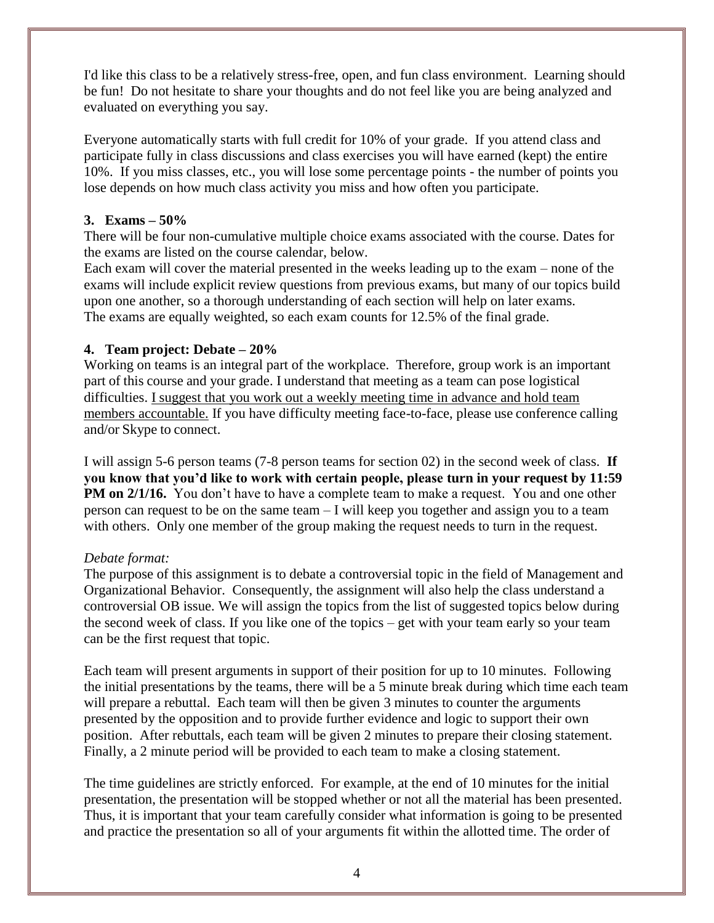I'd like this class to be a relatively stress-free, open, and fun class environment. Learning should be fun! Do not hesitate to share your thoughts and do not feel like you are being analyzed and evaluated on everything you say.

Everyone automatically starts with full credit for 10% of your grade. If you attend class and participate fully in class discussions and class exercises you will have earned (kept) the entire 10%. If you miss classes, etc., you will lose some percentage points - the number of points you lose depends on how much class activity you miss and how often you participate.

#### **3. Exams – 50%**

There will be four non-cumulative multiple choice exams associated with the course. Dates for the exams are listed on the course calendar, below.

Each exam will cover the material presented in the weeks leading up to the exam – none of the exams will include explicit review questions from previous exams, but many of our topics build upon one another, so a thorough understanding of each section will help on later exams. The exams are equally weighted, so each exam counts for 12.5% of the final grade.

### **4. Team project: Debate – 20%**

Working on teams is an integral part of the workplace. Therefore, group work is an important part of this course and your grade. I understand that meeting as a team can pose logistical difficulties. I suggest that you work out a weekly meeting time in advance and hold team members accountable. If you have difficulty meeting face-to-face, please use conference calling and/or Skype to connect.

I will assign 5-6 person teams (7-8 person teams for section 02) in the second week of class. **If you know that you'd like to work with certain people, please turn in your request by 11:59 PM** on 2/1/16. You don't have to have a complete team to make a request. You and one other person can request to be on the same team – I will keep you together and assign you to a team with others. Only one member of the group making the request needs to turn in the request.

#### *Debate format:*

The purpose of this assignment is to debate a controversial topic in the field of Management and Organizational Behavior. Consequently, the assignment will also help the class understand a controversial OB issue. We will assign the topics from the list of suggested topics below during the second week of class. If you like one of the topics – get with your team early so your team can be the first request that topic.

Each team will present arguments in support of their position for up to 10 minutes. Following the initial presentations by the teams, there will be a 5 minute break during which time each team will prepare a rebuttal. Each team will then be given 3 minutes to counter the arguments presented by the opposition and to provide further evidence and logic to support their own position. After rebuttals, each team will be given 2 minutes to prepare their closing statement. Finally, a 2 minute period will be provided to each team to make a closing statement.

The time guidelines are strictly enforced. For example, at the end of 10 minutes for the initial presentation, the presentation will be stopped whether or not all the material has been presented. Thus, it is important that your team carefully consider what information is going to be presented and practice the presentation so all of your arguments fit within the allotted time. The order of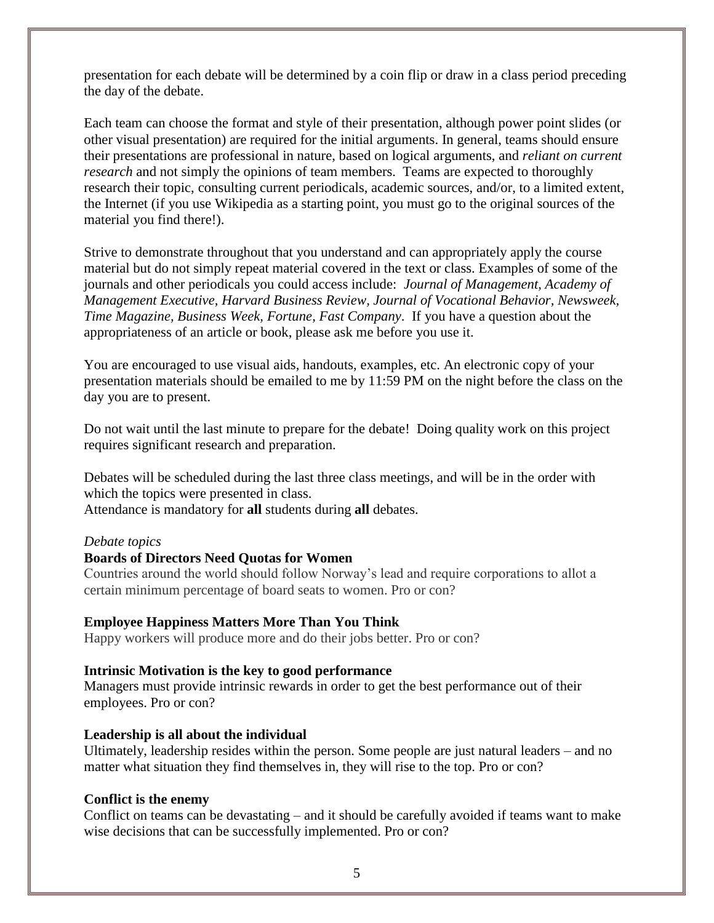presentation for each debate will be determined by a coin flip or draw in a class period preceding the day of the debate.

Each team can choose the format and style of their presentation, although power point slides (or other visual presentation) are required for the initial arguments. In general, teams should ensure their presentations are professional in nature, based on logical arguments, and *reliant on current research* and not simply the opinions of team members. Teams are expected to thoroughly research their topic, consulting current periodicals, academic sources, and/or, to a limited extent, the Internet (if you use Wikipedia as a starting point, you must go to the original sources of the material you find there!).

Strive to demonstrate throughout that you understand and can appropriately apply the course material but do not simply repeat material covered in the text or class. Examples of some of the journals and other periodicals you could access include: *Journal of Management, Academy of Management Executive, Harvard Business Review, Journal of Vocational Behavior, Newsweek, Time Magazine, Business Week, Fortune, Fast Company*. If you have a question about the appropriateness of an article or book, please ask me before you use it.

You are encouraged to use visual aids, handouts, examples, etc. An electronic copy of your presentation materials should be emailed to me by 11:59 PM on the night before the class on the day you are to present.

Do not wait until the last minute to prepare for the debate! Doing quality work on this project requires significant research and preparation.

Debates will be scheduled during the last three class meetings, and will be in the order with which the topics were presented in class. Attendance is mandatory for **all** students during **all** debates.

#### *Debate topics*

#### **[Boards of Directors Need Quotas for Women](http://www.businessweek.com/debateroom/archives/2011/02/boards_of_directors_need_quotas_for_women_1.html)**

Countries around the world should follow Norway's lead and require corporations to allot a certain minimum percentage of board seats to women. Pro or con?

#### **[Employee Happiness Matters More Than You Think](http://www.businessweek.com/debateroom/archives/2012/02/employee_happiness_matters_more_than_you_think.html)**

Happy workers will produce more and do their jobs better. Pro or con?

#### **Intrinsic Motivation is the key to good performance**

Managers must provide intrinsic rewards in order to get the best performance out of their employees. Pro or con?

#### **Leadership is all about the individual**

Ultimately, leadership resides within the person. Some people are just natural leaders – and no matter what situation they find themselves in, they will rise to the top. Pro or con?

#### **Conflict is the enemy**

Conflict on teams can be devastating – and it should be carefully avoided if teams want to make wise decisions that can be successfully implemented. Pro or con?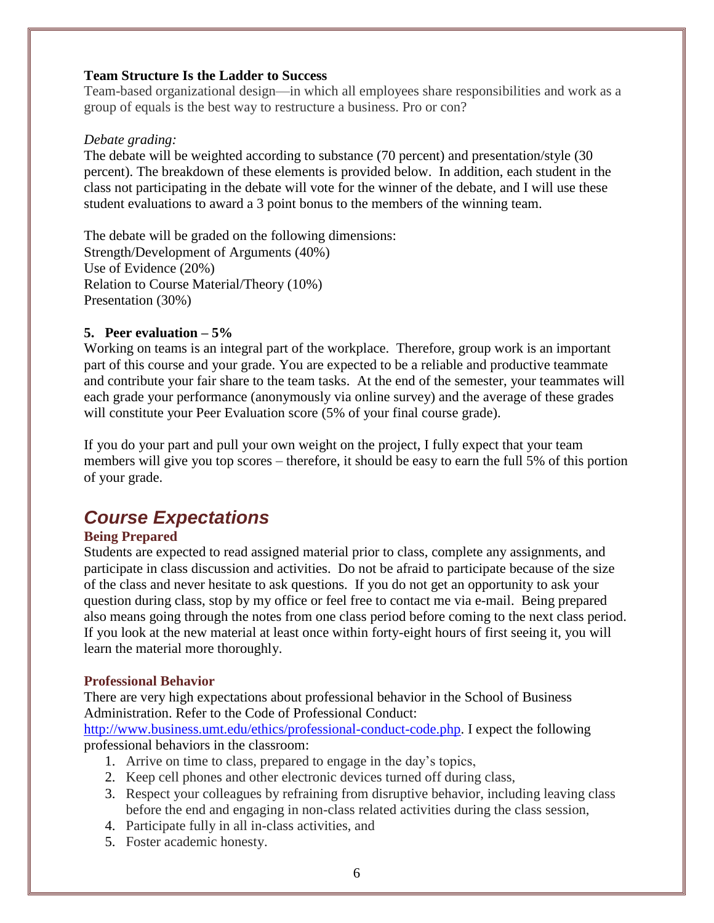#### **[Team Structure Is the Ladder to Success](http://www.businessweek.com/debateroom/archives/2009/08/matrix_is_the_ladder_to_success.html)**

Team-based organizational design—in which all employees share responsibilities and work as a group of equals is the best way to restructure a business. Pro or con?

#### *Debate grading:*

The debate will be weighted according to substance (70 percent) and presentation/style (30 percent). The breakdown of these elements is provided below. In addition, each student in the class not participating in the debate will vote for the winner of the debate, and I will use these student evaluations to award a 3 point bonus to the members of the winning team.

The debate will be graded on the following dimensions: Strength/Development of Arguments (40%) Use of Evidence (20%) Relation to Course Material/Theory (10%) Presentation (30%)

#### **5. Peer evaluation – 5%**

Working on teams is an integral part of the workplace. Therefore, group work is an important part of this course and your grade. You are expected to be a reliable and productive teammate and contribute your fair share to the team tasks. At the end of the semester, your teammates will each grade your performance (anonymously via online survey) and the average of these grades will constitute your Peer Evaluation score (5% of your final course grade).

If you do your part and pull your own weight on the project, I fully expect that your team members will give you top scores – therefore, it should be easy to earn the full 5% of this portion of your grade.

# *Course Expectations*

#### **Being Prepared**

Students are expected to read assigned material prior to class, complete any assignments, and participate in class discussion and activities. Do not be afraid to participate because of the size of the class and never hesitate to ask questions. If you do not get an opportunity to ask your question during class, stop by my office or feel free to contact me via e-mail. Being prepared also means going through the notes from one class period before coming to the next class period. If you look at the new material at least once within forty-eight hours of first seeing it, you will learn the material more thoroughly.

#### **Professional Behavior**

There are very high expectations about professional behavior in the School of Business Administration. Refer to the Code of Professional Conduct:

[http://www.business.umt.edu/ethics/professional-conduct-code.php.](http://www.business.umt.edu/ethics/professional-conduct-code.php) I expect the following professional behaviors in the classroom:

- 1. Arrive on time to class, prepared to engage in the day's topics,
- 2. Keep cell phones and other electronic devices turned off during class,
- 3. Respect your colleagues by refraining from disruptive behavior, including leaving class before the end and engaging in non-class related activities during the class session,
- 4. Participate fully in all in-class activities, and
- 5. Foster academic honesty.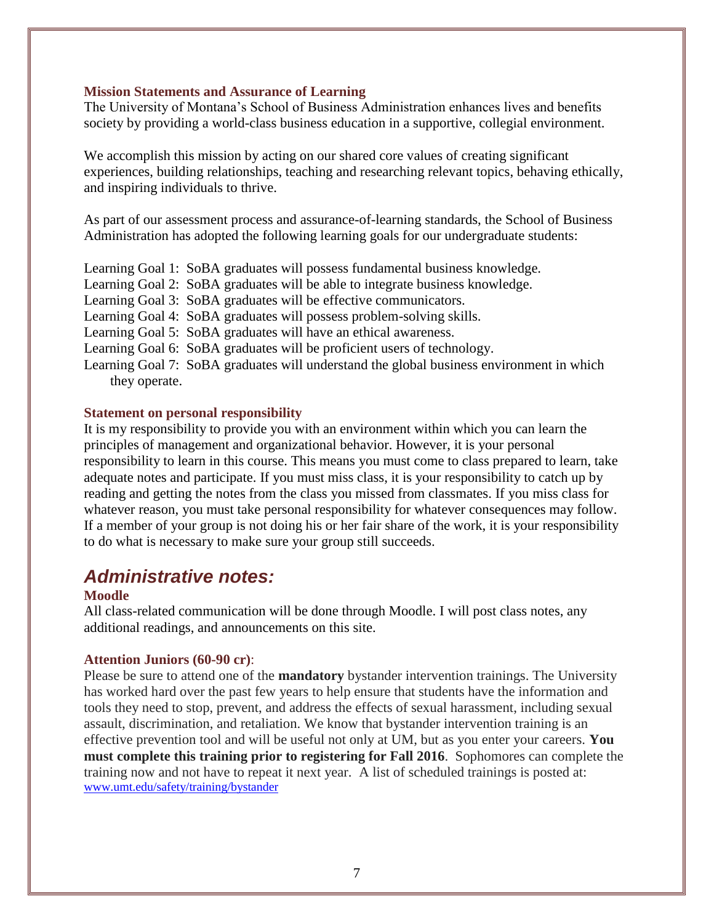#### **Mission Statements and Assurance of Learning**

The University of Montana's School of Business Administration enhances lives and benefits society by providing a world-class business education in a supportive, collegial environment.

We accomplish this mission by acting on our shared core values of creating significant experiences, building relationships, teaching and researching relevant topics, behaving ethically, and inspiring individuals to thrive.

As part of our assessment process and assurance-of-learning standards, the School of Business Administration has adopted the following learning goals for our undergraduate students:

Learning Goal 1: SoBA graduates will possess fundamental business knowledge. Learning Goal 2: SoBA graduates will be able to integrate business knowledge. Learning Goal 3: SoBA graduates will be effective communicators. Learning Goal 4: SoBA graduates will possess problem-solving skills. Learning Goal 5: SoBA graduates will have an ethical awareness. Learning Goal 6: SoBA graduates will be proficient users of technology. Learning Goal 7: SoBA graduates will understand the global business environment in which they operate.

#### **Statement on personal responsibility**

It is my responsibility to provide you with an environment within which you can learn the principles of management and organizational behavior. However, it is your personal responsibility to learn in this course. This means you must come to class prepared to learn, take adequate notes and participate. If you must miss class, it is your responsibility to catch up by reading and getting the notes from the class you missed from classmates. If you miss class for whatever reason, you must take personal responsibility for whatever consequences may follow. If a member of your group is not doing his or her fair share of the work, it is your responsibility to do what is necessary to make sure your group still succeeds.

## *Administrative notes:*

#### **Moodle**

additional readings, and announcements on this site. All class-related communication will be done through Moodle. I will post class notes, any

#### **Attention Juniors (60-90 cr)**:

Please be sure to attend one of the **mandatory** bystander intervention trainings. The University has worked hard over the past few years to help ensure that students have the information and tools they need to stop, prevent, and address the effects of sexual harassment, including sexual assault, discrimination, and retaliation. We know that bystander intervention training is an effective prevention tool and will be useful not only at UM, but as you enter your careers. **You must complete this training prior to registering for Fall 2016**. Sophomores can complete the training now and not have to repeat it next year. A list of scheduled trainings is posted at: [www.umt.edu/safety/training/bystander](http://www.umt.edu/safety/training/bystander)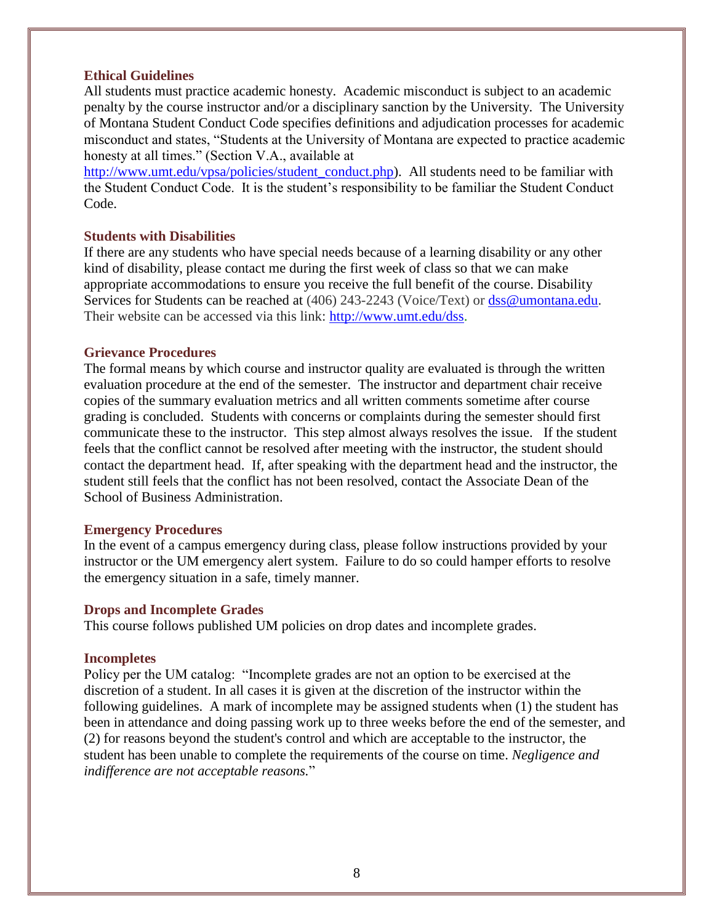#### **Ethical Guidelines**

All students must practice academic honesty. Academic misconduct is subject to an academic penalty by the course instructor and/or a disciplinary sanction by the University. The University of Montana Student Conduct Code specifies definitions and adjudication processes for academic misconduct and states, "Students at the University of Montana are expected to practice academic honesty at all times." (Section V.A., available at

[http://www.umt.edu/vpsa/policies/student\\_conduct.php\)](http://www.umt.edu/vpsa/policies/student_conduct.php). All students need to be familiar with the Student Conduct Code. It is the student's responsibility to be familiar the Student Conduct Code.

#### **Students with Disabilities**

If there are any students who have special needs because of a learning disability or any other kind of disability, please contact me during the first week of class so that we can make appropriate accommodations to ensure you receive the full benefit of the course. Disability Services for Students can be reached at (406) 243-2243 (Voice/Text) or [dss@umontana.edu.](mailto:dss@umontana.edu) Their website can be accessed via this link: [http://www.umt.edu/dss.](http://www.umt.edu/dss)

#### **Grievance Procedures**

The formal means by which course and instructor quality are evaluated is through the written evaluation procedure at the end of the semester. The instructor and department chair receive copies of the summary evaluation metrics and all written comments sometime after course grading is concluded. Students with concerns or complaints during the semester should first communicate these to the instructor. This step almost always resolves the issue. If the student feels that the conflict cannot be resolved after meeting with the instructor, the student should contact the department head. If, after speaking with the department head and the instructor, the student still feels that the conflict has not been resolved, contact the Associate Dean of the School of Business Administration.

#### **Emergency Procedures**

In the event of a campus emergency during class, please follow instructions provided by your instructor or the UM emergency alert system. Failure to do so could hamper efforts to resolve the emergency situation in a safe, timely manner.

#### **Drops and Incomplete Grades**

This course follows published UM policies on drop dates and incomplete grades.

#### **Incompletes**

Policy per the UM catalog: "Incomplete grades are not an option to be exercised at the discretion of a student. In all cases it is given at the discretion of the instructor within the following guidelines. A mark of incomplete may be assigned students when (1) the student ha s been in attendance and doing passing work up to three weeks before the end of the semester, and (2) for reasons beyond the student's control and which are acceptable to the instructor, the student has been unable to complete the requirements of the course on time. *Negligence and indifference are not acceptable reasons.*"